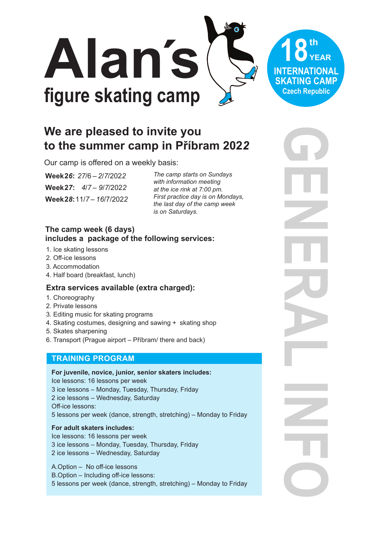

# We are pleased to invite you to the summer camp in Příbram 2022

Our camp is offered on a weekly basis:

Week 26: 27/6 - 2/7/2022 Week27: 4/7-9/7/2022 Week 28: 11/7 - 16/7/2022 The camp starts on Sundays with information meeting at the ice rink at 7:00 pm. First practice day is on Mondays. the last day of the camp week is on Saturdays.

## The camp week (6 days) includes a package of the following services:

- 1. Ice skating lessons
- 2. Off-ice lessons
- 3. Accommodation
- 4. Half board (breakfast, lunch)

## Extra services available (extra charged):

- 1. Choreography
- 2. Private lessons
- 3. Editing music for skating programs
- 4. Skating costumes, designing and sawing + skating shop
- 5. Skates sharpening
- 6. Transport (Prague airport Příbram/ there and back)

## **TRAINING PROGRAM**

For juvenile, novice, junior, senior skaters includes: Ice lessons: 16 lessons per week 3 ice lessons - Monday, Tuesday, Thursday, Friday 2 ice lessons - Wednesday, Saturday Off-ice lessons: 5 lessons per week (dance, strength, stretching) - Monday to Friday

#### For adult skaters includes:

Ice lessons: 16 lessons per week 3 ice lessons - Monday, Tuesday, Thursday, Friday 2 ice lessons - Wednesday, Saturday

- A.Option No off-ice lessons
- B.Option Including off-ice lessons:
- 5 lessons per week (dance, strength, stretching) Monday to Friday